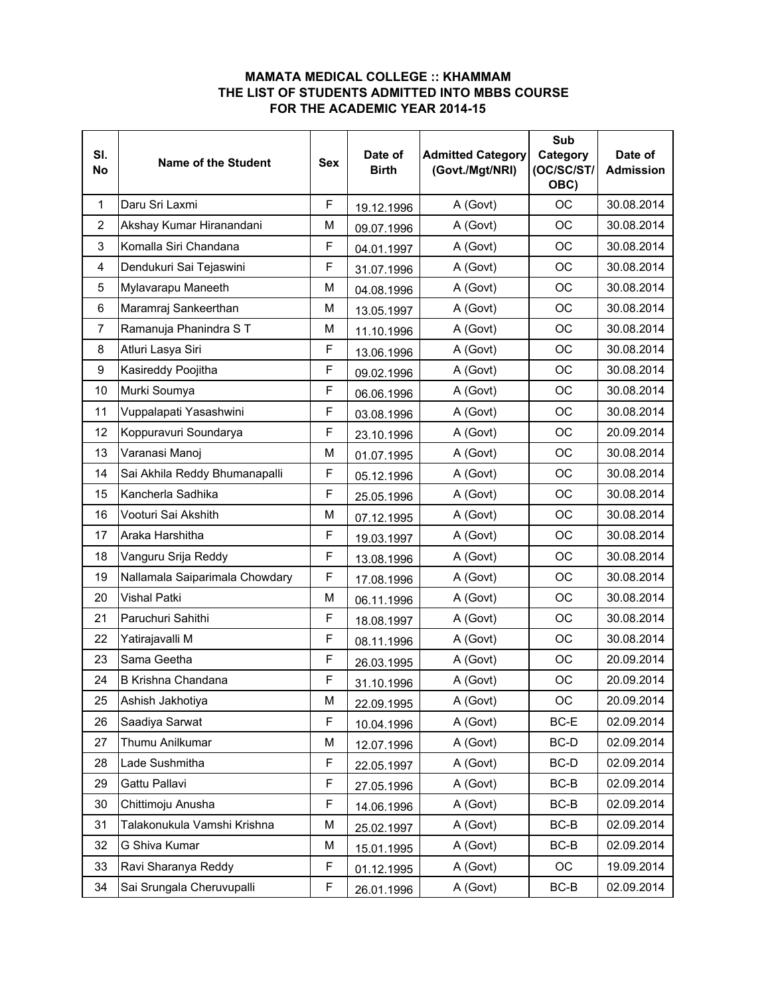## **MAMATA MEDICAL COLLEGE :: KHAMMAM THE LIST OF STUDENTS ADMITTED INTO MBBS COURSE FOR THE ACADEMIC YEAR 2014-15**

| SI.<br><b>No</b> | <b>Name of the Student</b>     | <b>Sex</b> | Date of<br><b>Birth</b> | <b>Admitted Category</b><br>(Govt./Mgt/NRI) | Sub<br>Category<br>(OC/SC/ST/<br>OBC) | Date of<br><b>Admission</b> |
|------------------|--------------------------------|------------|-------------------------|---------------------------------------------|---------------------------------------|-----------------------------|
| 1                | Daru Sri Laxmi                 | F          | 19.12.1996              | A (Govt)                                    | <b>OC</b>                             | 30.08.2014                  |
| $\overline{2}$   | Akshay Kumar Hiranandani       | M          | 09.07.1996              | A (Govt)                                    | OC                                    | 30.08.2014                  |
| 3                | Komalla Siri Chandana          | F          | 04.01.1997              | A (Govt)                                    | <b>OC</b>                             | 30.08.2014                  |
| 4                | Dendukuri Sai Tejaswini        | F          | 31.07.1996              | A (Govt)                                    | ОC                                    | 30.08.2014                  |
| 5                | Mylavarapu Maneeth             | M          | 04.08.1996              | A (Govt)                                    | <b>OC</b>                             | 30.08.2014                  |
| 6                | Maramraj Sankeerthan           | M          | 13.05.1997              | A (Govt)                                    | <b>OC</b>                             | 30.08.2014                  |
| $\overline{7}$   | Ramanuja Phanindra ST          | M          | 11.10.1996              | A (Govt)                                    | <b>OC</b>                             | 30.08.2014                  |
| 8                | Atluri Lasya Siri              | F          | 13.06.1996              | A (Govt)                                    | OC                                    | 30.08.2014                  |
| 9                | Kasireddy Poojitha             | F          | 09.02.1996              | A (Govt)                                    | OC                                    | 30.08.2014                  |
| 10               | Murki Soumya                   | F          | 06.06.1996              | A (Govt)                                    | ОC                                    | 30.08.2014                  |
| 11               | Vuppalapati Yasashwini         | F          | 03.08.1996              | A (Govt)                                    | <b>OC</b>                             | 30.08.2014                  |
| 12               | Koppuravuri Soundarya          | F          | 23.10.1996              | A (Govt)                                    | OC                                    | 20.09.2014                  |
| 13               | Varanasi Manoj                 | M          | 01.07.1995              | A (Govt)                                    | OC                                    | 30.08.2014                  |
| 14               | Sai Akhila Reddy Bhumanapalli  | F          | 05.12.1996              | A (Govt)                                    | OC                                    | 30.08.2014                  |
| 15               | Kancherla Sadhika              | F          | 25.05.1996              | A (Govt)                                    | <b>OC</b>                             | 30.08.2014                  |
| 16               | Vooturi Sai Akshith            | M          | 07.12.1995              | A (Govt)                                    | OC                                    | 30.08.2014                  |
| 17               | Araka Harshitha                | F          | 19.03.1997              | A (Govt)                                    | <b>OC</b>                             | 30.08.2014                  |
| 18               | Vanguru Srija Reddy            | F          | 13.08.1996              | A (Govt)                                    | OC                                    | 30.08.2014                  |
| 19               | Nallamala Saiparimala Chowdary | F          | 17.08.1996              | A (Govt)                                    | OC                                    | 30.08.2014                  |
| 20               | <b>Vishal Patki</b>            | M          | 06.11.1996              | A (Govt)                                    | OC                                    | 30.08.2014                  |
| 21               | Paruchuri Sahithi              | F          | 18.08.1997              | A (Govt)                                    | OC                                    | 30.08.2014                  |
| 22               | Yatirajavalli M                | F          | 08.11.1996              | A (Govt)                                    | OC                                    | 30.08.2014                  |
| 23               | Sama Geetha                    | F          | 26.03.1995              | A (Govt)                                    | OC                                    | 20.09.2014                  |
| 24               | B Krishna Chandana             | F          | 31.10.1996              | A (Govt)                                    | ОC                                    | 20.09.2014                  |
| 25               | Ashish Jakhotiya               | M          | 22.09.1995              | A (Govt)                                    | OC                                    | 20.09.2014                  |
| 26               | Saadiya Sarwat                 | F          | 10.04.1996              | A (Govt)                                    | BC-E                                  | 02.09.2014                  |
| 27               | Thumu Anilkumar                | М          | 12.07.1996              | A (Govt)                                    | BC-D                                  | 02.09.2014                  |
| 28               | Lade Sushmitha                 | F          | 22.05.1997              | A (Govt)                                    | BC-D                                  | 02.09.2014                  |
| 29               | Gattu Pallavi                  | F          | 27.05.1996              | A (Govt)                                    | BC-B                                  | 02.09.2014                  |
| 30               | Chittimoju Anusha              | F          | 14.06.1996              | A (Govt)                                    | $BC-B$                                | 02.09.2014                  |
| 31               | Talakonukula Vamshi Krishna    | M          | 25.02.1997              | A (Govt)                                    | BC-B                                  | 02.09.2014                  |
| 32               | G Shiva Kumar                  | м          | 15.01.1995              | A (Govt)                                    | $BC-B$                                | 02.09.2014                  |
| 33               | Ravi Sharanya Reddy            | F          | 01.12.1995              | A (Govt)                                    | OC                                    | 19.09.2014                  |
| 34               | Sai Srungala Cheruvupalli      | F          | 26.01.1996              | A (Govt)                                    | $BC-B$                                | 02.09.2014                  |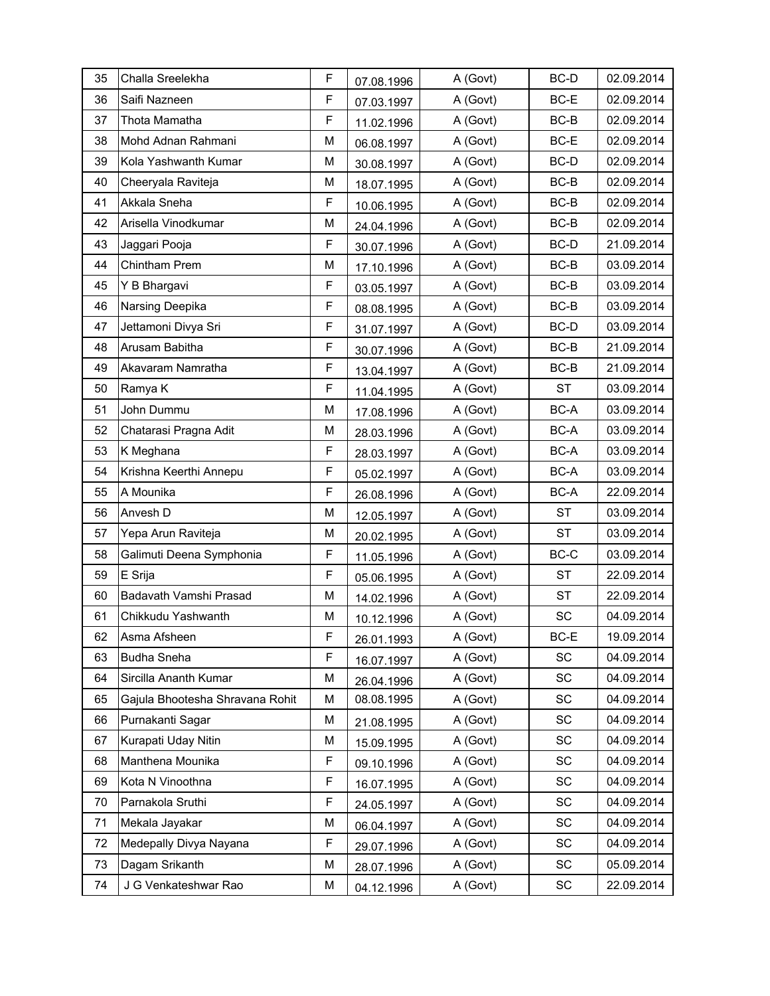| 35 | Challa Sreelekha                | F | 07.08.1996 | A (Govt) | BC-D      | 02.09.2014 |
|----|---------------------------------|---|------------|----------|-----------|------------|
| 36 | Saifi Nazneen                   | F | 07.03.1997 | A (Govt) | BC-E      | 02.09.2014 |
| 37 | Thota Mamatha                   | F | 11.02.1996 | A (Govt) | $BC-B$    | 02.09.2014 |
| 38 | Mohd Adnan Rahmani              | M | 06.08.1997 | A (Govt) | BC-E      | 02.09.2014 |
| 39 | Kola Yashwanth Kumar            | M | 30.08.1997 | A (Govt) | BC-D      | 02.09.2014 |
| 40 | Cheeryala Raviteja              | M | 18.07.1995 | A (Govt) | $BC-B$    | 02.09.2014 |
| 41 | Akkala Sneha                    | F | 10.06.1995 | A (Govt) | $BC-B$    | 02.09.2014 |
| 42 | Arisella Vinodkumar             | M | 24.04.1996 | A (Govt) | $BC-B$    | 02.09.2014 |
| 43 | Jaggari Pooja                   | F | 30.07.1996 | A (Govt) | BC-D      | 21.09.2014 |
| 44 | Chintham Prem                   | М | 17.10.1996 | A (Govt) | BC-B      | 03.09.2014 |
| 45 | Y B Bhargavi                    | F | 03.05.1997 | A (Govt) | BC-B      | 03.09.2014 |
| 46 | Narsing Deepika                 | F | 08.08.1995 | A (Govt) | $BC-B$    | 03.09.2014 |
| 47 | Jettamoni Divya Sri             | F | 31.07.1997 | A (Govt) | BC-D      | 03.09.2014 |
| 48 | Arusam Babitha                  | F | 30.07.1996 | A (Govt) | BC-B      | 21.09.2014 |
| 49 | Akavaram Namratha               | F | 13.04.1997 | A (Govt) | $BC-B$    | 21.09.2014 |
| 50 | Ramya K                         | F | 11.04.1995 | A (Govt) | <b>ST</b> | 03.09.2014 |
| 51 | John Dummu                      | М | 17.08.1996 | A (Govt) | BC-A      | 03.09.2014 |
| 52 | Chatarasi Pragna Adit           | М | 28.03.1996 | A (Govt) | BC-A      | 03.09.2014 |
| 53 | K Meghana                       | F | 28.03.1997 | A (Govt) | BC-A      | 03.09.2014 |
| 54 | Krishna Keerthi Annepu          | F | 05.02.1997 | A (Govt) | BC-A      | 03.09.2014 |
| 55 | A Mounika                       | F | 26.08.1996 | A (Govt) | BC-A      | 22.09.2014 |
| 56 | Anvesh D                        | М | 12.05.1997 | A (Govt) | <b>ST</b> | 03.09.2014 |
| 57 | Yepa Arun Raviteja              | М | 20.02.1995 | A (Govt) | <b>ST</b> | 03.09.2014 |
| 58 | Galimuti Deena Symphonia        | F | 11.05.1996 | A (Govt) | BC-C      | 03.09.2014 |
| 59 | E Srija                         | F | 05.06.1995 | A (Govt) | <b>ST</b> | 22.09.2014 |
| 60 | Badavath Vamshi Prasad          | М | 14.02.1996 | A (Govt) | <b>ST</b> | 22.09.2014 |
| 61 | Chikkudu Yashwanth              | M | 10.12.1996 | A (Govt) | SC        | 04.09.2014 |
| 62 | Asma Afsheen                    | F | 26.01.1993 | A (Govt) | BC-E      | 19.09.2014 |
| 63 | <b>Budha Sneha</b>              | F | 16.07.1997 | A (Govt) | SC        | 04.09.2014 |
| 64 | Sircilla Ananth Kumar           | М | 26.04.1996 | A (Govt) | SC        | 04.09.2014 |
| 65 | Gajula Bhootesha Shravana Rohit | M | 08.08.1995 | A (Govt) | SC        | 04.09.2014 |
| 66 | Purnakanti Sagar                | М | 21.08.1995 | A (Govt) | SC        | 04.09.2014 |
| 67 | Kurapati Uday Nitin             | М | 15.09.1995 | A (Govt) | SC        | 04.09.2014 |
| 68 | Manthena Mounika                | F | 09.10.1996 | A (Govt) | SC        | 04.09.2014 |
| 69 | Kota N Vinoothna                | F | 16.07.1995 | A (Govt) | SC        | 04.09.2014 |
| 70 | Parnakola Sruthi                | F | 24.05.1997 | A (Govt) | SC        | 04.09.2014 |
| 71 | Mekala Jayakar                  | М | 06.04.1997 | A (Govt) | SC        | 04.09.2014 |
| 72 | Medepally Divya Nayana          | F | 29.07.1996 | A (Govt) | SC        | 04.09.2014 |
| 73 | Dagam Srikanth                  | М | 28.07.1996 | A (Govt) | SC        | 05.09.2014 |
| 74 | J G Venkateshwar Rao            | М | 04.12.1996 | A (Govt) | SC        | 22.09.2014 |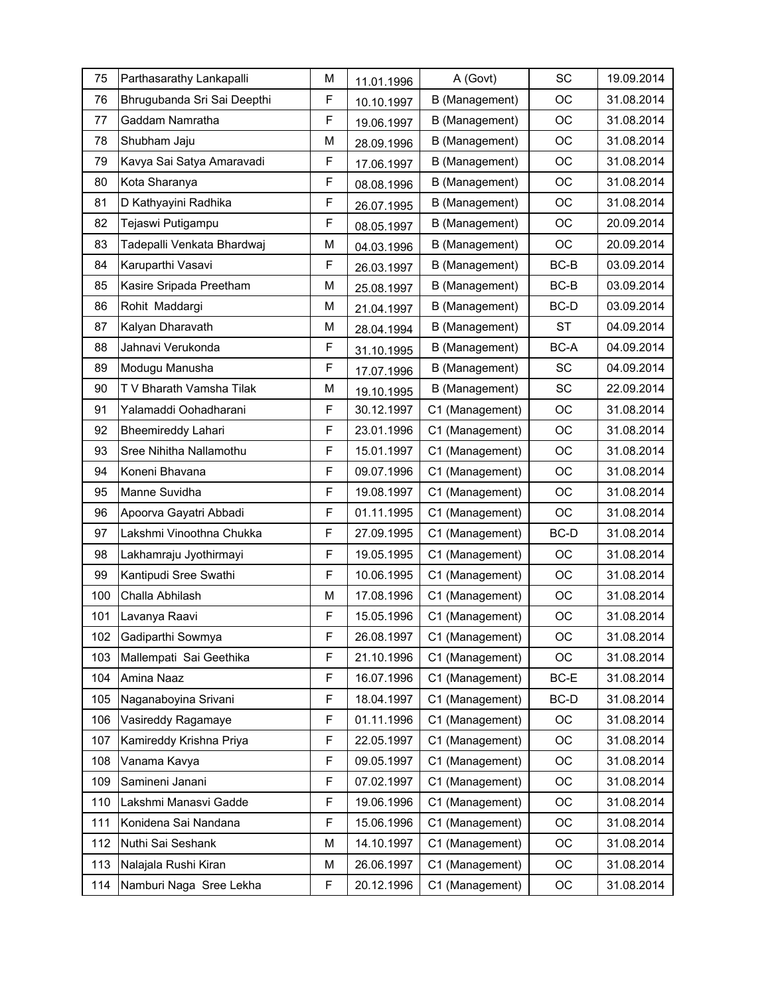| 75  | Parthasarathy Lankapalli    | М | 11.01.1996 | A (Govt)        | <b>SC</b> | 19.09.2014 |
|-----|-----------------------------|---|------------|-----------------|-----------|------------|
| 76  | Bhrugubanda Sri Sai Deepthi | F | 10.10.1997 | B (Management)  | <b>OC</b> | 31.08.2014 |
| 77  | Gaddam Namratha             | F | 19.06.1997 | B (Management)  | OC        | 31.08.2014 |
| 78  | Shubham Jaju                | M | 28.09.1996 | B (Management)  | OC        | 31.08.2014 |
| 79  | Kavya Sai Satya Amaravadi   | F | 17.06.1997 | B (Management)  | OC        | 31.08.2014 |
| 80  | Kota Sharanya               | F | 08.08.1996 | B (Management)  | OC        | 31.08.2014 |
| 81  | D Kathyayini Radhika        | F | 26.07.1995 | B (Management)  | OC        | 31.08.2014 |
| 82  | Tejaswi Putigampu           | F | 08.05.1997 | B (Management)  | <b>OC</b> | 20.09.2014 |
| 83  | Tadepalli Venkata Bhardwaj  | M | 04.03.1996 | B (Management)  | OC        | 20.09.2014 |
| 84  | Karuparthi Vasavi           | F | 26.03.1997 | B (Management)  | $BC-B$    | 03.09.2014 |
| 85  | Kasire Sripada Preetham     | M | 25.08.1997 | B (Management)  | $BC-B$    | 03.09.2014 |
| 86  | Rohit Maddargi              | M | 21.04.1997 | B (Management)  | BC-D      | 03.09.2014 |
| 87  | Kalyan Dharavath            | М | 28.04.1994 | B (Management)  | <b>ST</b> | 04.09.2014 |
| 88  | Jahnavi Verukonda           | F | 31.10.1995 | B (Management)  | BC-A      | 04.09.2014 |
| 89  | Modugu Manusha              | F | 17.07.1996 | B (Management)  | SC        | 04.09.2014 |
| 90  | T V Bharath Vamsha Tilak    | M | 19.10.1995 | B (Management)  | SC        | 22.09.2014 |
| 91  | Yalamaddi Oohadharani       | F | 30.12.1997 | C1 (Management) | OC        | 31.08.2014 |
| 92  | <b>Bheemireddy Lahari</b>   | F | 23.01.1996 | C1 (Management) | OC        | 31.08.2014 |
| 93  | Sree Nihitha Nallamothu     | F | 15.01.1997 | C1 (Management) | <b>OC</b> | 31.08.2014 |
| 94  | Koneni Bhavana              | F | 09.07.1996 | C1 (Management) | OC        | 31.08.2014 |
| 95  | Manne Suvidha               | F | 19.08.1997 | C1 (Management) | ОC        | 31.08.2014 |
| 96  | Apoorva Gayatri Abbadi      | F | 01.11.1995 | C1 (Management) | OC        | 31.08.2014 |
| 97  | Lakshmi Vinoothna Chukka    | F | 27.09.1995 | C1 (Management) | BC-D      | 31.08.2014 |
| 98  | Lakhamraju Jyothirmayi      | F | 19.05.1995 | C1 (Management) | OC        | 31.08.2014 |
| 99  | Kantipudi Sree Swathi       | F | 10.06.1995 | C1 (Management) | OC        | 31.08.2014 |
| 100 | Challa Abhilash             | M | 17.08.1996 | C1 (Management) | OC        | 31.08.2014 |
| 101 | Lavanya Raavi               | F | 15.05.1996 | C1 (Management) | OC        | 31.08.2014 |
| 102 | Gadiparthi Sowmya           | F | 26.08.1997 | C1 (Management) | OC        | 31.08.2014 |
| 103 | Mallempati Sai Geethika     | F | 21.10.1996 | C1 (Management) | OC        | 31.08.2014 |
| 104 | Amina Naaz                  | F | 16.07.1996 | C1 (Management) | BC-E      | 31.08.2014 |
| 105 | Naganaboyina Srivani        | F | 18.04.1997 | C1 (Management) | BC-D      | 31.08.2014 |
| 106 | Vasireddy Ragamaye          | F | 01.11.1996 | C1 (Management) | OC        | 31.08.2014 |
| 107 | Kamireddy Krishna Priya     | F | 22.05.1997 | C1 (Management) | ОC        | 31.08.2014 |
| 108 | Vanama Kavya                | F | 09.05.1997 | C1 (Management) | OC        | 31.08.2014 |
| 109 | Samineni Janani             | F | 07.02.1997 | C1 (Management) | OC        | 31.08.2014 |
| 110 | Lakshmi Manasvi Gadde       | F | 19.06.1996 | C1 (Management) | OC        | 31.08.2014 |
| 111 | Konidena Sai Nandana        | F | 15.06.1996 | C1 (Management) | OC        | 31.08.2014 |
| 112 | Nuthi Sai Seshank           | М | 14.10.1997 | C1 (Management) | OC        | 31.08.2014 |
| 113 | Nalajala Rushi Kiran        | М | 26.06.1997 | C1 (Management) | OC        | 31.08.2014 |
| 114 | Namburi Naga Sree Lekha     | F | 20.12.1996 | C1 (Management) | OC        | 31.08.2014 |